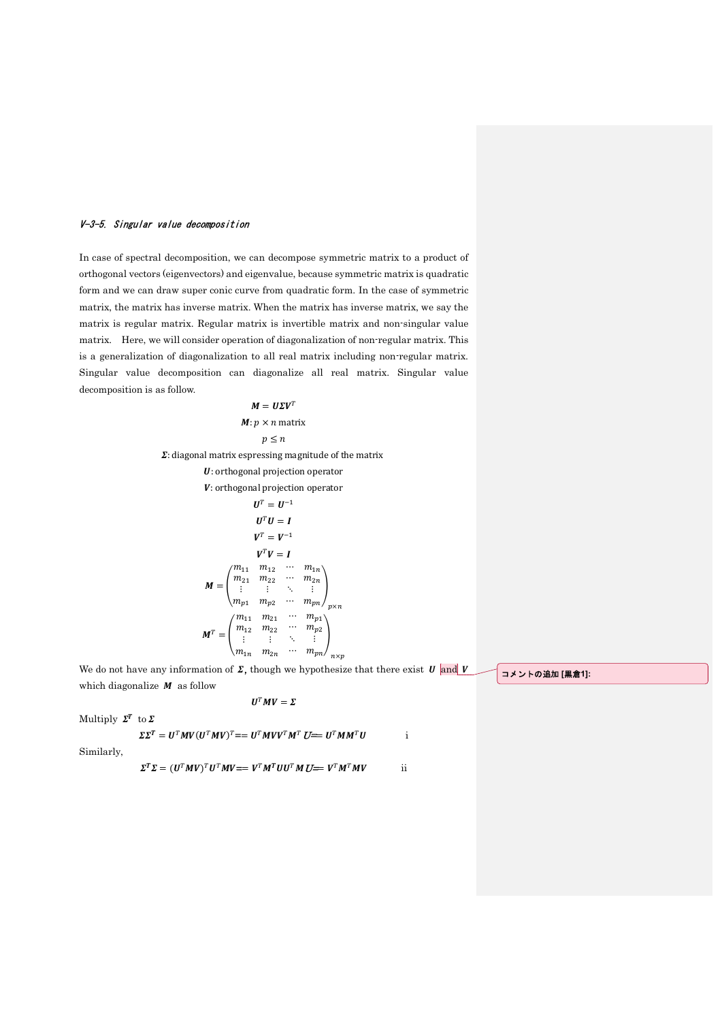## V-3-5. Singular value decomposition

In case of spectral decomposition, we can decompose symmetric matrix to a product of orthogonal vectors (eigenvectors) and eigenvalue, because symmetric matrix is quadratic form and we can draw super conic curve from quadratic form. In the case of symmetric matrix, the matrix has inverse matrix. When the matrix has inverse matrix, we say the matrix is regular matrix. Regular matrix is invertible matrix and non-singular value matrix. Here, we will consider operation of diagonalization of non-regular matrix. This is a generalization of diagonalization to all real matrix including non-regular matrix. Singular value decomposition can diagonalize all real matrix. Singular value decomposition is as follow.

> $M = U\Sigma V^{T}$  $M: p \times n$  matrix  $p \leq n$  $\Sigma$ : diagonal matrix espressing magnitude of the matrix U: orthogonal projection operator V: orthogonal projection operator  $\boldsymbol{U}^T = \boldsymbol{U}^{-1}$  $U^T U = I$  $V^T = V^{-1}$  $V^T V = I$  $M =$  $m_{11}$   $m_{12}$  $m_{21}$   $m_{22}$  $\cdots$   $m_{1n}$  $\begin{array}{ccccccccc}\n l_{21} & m_{22} & \cdots & m_{2n} \\
>  \vdots & \vdots & \ddots & \vdots\n \end{array}$  $m_{p1}$   $m_{p2}$  $\therefore$   $\vdots$   $\vdots$   $\vdots$   $\vdots$   $\vdots$   $\vdots$   $\vdots$   $\vdots$   $\vdots$   $\vdots$   $\vdots$   $\vdots$   $\vdots$   $\vdots$   $\vdots$   $\vdots$   $\vdots$   $\vdots$   $\vdots$   $\vdots$   $\vdots$   $\vdots$   $\vdots$   $\vdots$   $\vdots$   $\vdots$   $\vdots$   $\vdots$   $\vdots$   $\vdots$   $\vdots$   $\vdots$   $\vdots$   $\vdots$   $\vdots$   $\vdots$  $M^T =$  |  $\dot{ }$  $m_{11}$   $m_{21}$  $m_{12}$   $m_{22}$  $\cdots$   $m_{p1}$  $\cdots$   $m_{p2}$  $\begin{pmatrix} 12 & 22 \\ \vdots & \vdots & \ddots & \vdots \\ 1n & m_{2n} & \cdots & m_{pn} \end{pmatrix}$  $\begin{pmatrix} m_{1n} & m_{2n} \end{pmatrix}$  $\cdots$   $m_{pn}/$ <sub>n×p</sub>

We do not have any information of  $\Sigma$ , though we hypothesize that there exist  $U$  and  $V$ which diagonalize  $M$  as follow  $U^T M V = \Sigma$ 

コメントの追加 [黒倉1]:

Multiply  $\Sigma^T$  to  $\Sigma$ 

$$
\Sigma\Sigma^T = U^T M V (U^T M V)^T = = U^T M V V^T M^T U = U^T M M^T U \qquad \qquad \text{if}
$$

Similarly,

$$
\boldsymbol{\Sigma}^T\boldsymbol{\Sigma} = (\boldsymbol{U}^T\boldsymbol{M}\boldsymbol{V})^T\boldsymbol{U}^T\boldsymbol{M}\boldsymbol{V}\boldsymbol{=} = \boldsymbol{V}^T\boldsymbol{M}^T\boldsymbol{U}\boldsymbol{U}^T\boldsymbol{M}\boldsymbol{U}\boldsymbol{=} = \boldsymbol{V}^T\boldsymbol{M}^T\boldsymbol{M}\boldsymbol{V}
$$

 $\overline{\mathbf{ii}}$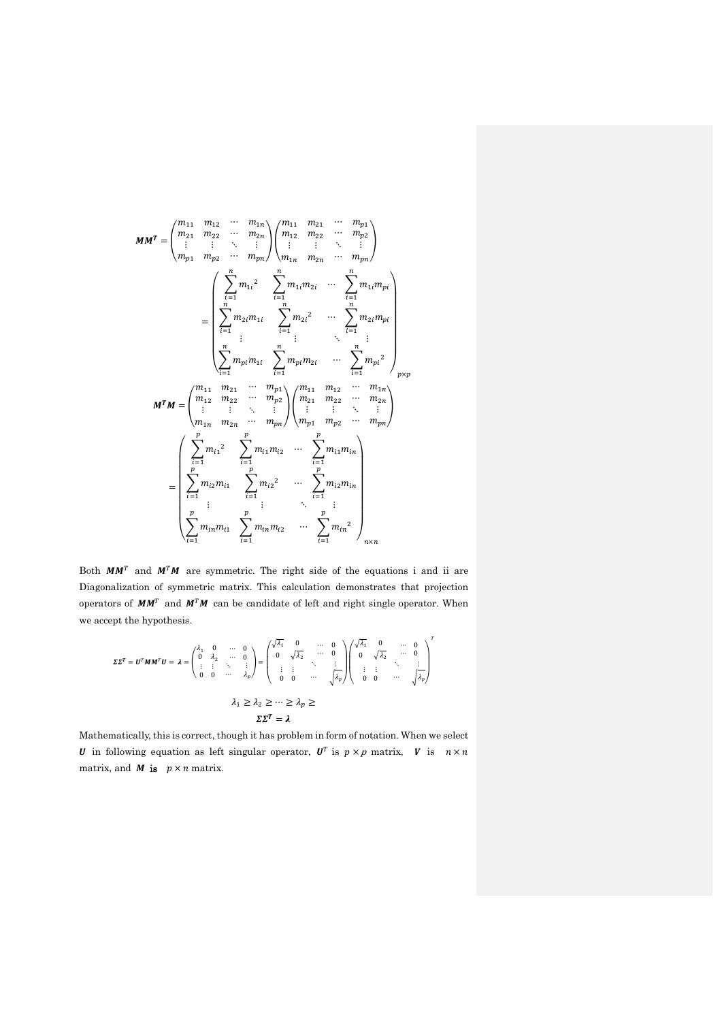$$
MM^{T} = \begin{pmatrix} m_{11} & m_{12} & \cdots & m_{1n} \\ m_{21} & m_{22} & \cdots & m_{2n} \\ \vdots & \vdots & \ddots & \vdots \\ m_{p1} & m_{p2} & \cdots & m_{pn} \end{pmatrix} \begin{pmatrix} m_{11} & m_{21} & \cdots & m_{p1} \\ m_{12} & m_{22} & \cdots & m_{p2} \\ \vdots & \vdots & \ddots & \vdots \\ m_{n1} & m_{n2} & \cdots & m_{pn} \end{pmatrix}
$$

$$
= \begin{pmatrix} \sum_{i=1}^{n} m_{1i}^{2} & \sum_{i=1}^{n} m_{1i} m_{2i} & \cdots & \sum_{i=1}^{n} m_{1i} m_{pi} \\ \sum_{i=1}^{n} m_{2i} m_{1i} & \sum_{i=1}^{n} m_{2i}^{2} & \cdots & \sum_{i=1}^{n} m_{2i} m_{pi} \\ \vdots & \vdots & \ddots & \vdots \\ \sum_{i=1}^{n} m_{pi} m_{1i} & \sum_{i=1}^{n} m_{pi} m_{2i} & \cdots & \sum_{i=1}^{n} m_{pi}^{2} \\ \vdots & \vdots & \ddots & \vdots \\ \sum_{i=1}^{n} m_{i1} m_{21} & \cdots & m_{pi} \end{pmatrix} \begin{pmatrix} m_{11} & m_{12} & \cdots & m_{1n} \\ m_{21} & m_{22} & \cdots & m_{2n} \\ \vdots & \vdots & \ddots & \vdots \\ m_{1n} & m_{2n} & \cdots & m_{pn} \end{pmatrix}
$$

$$
= \begin{pmatrix} \sum_{i=1}^{p} m_{i1}^{2} & \sum_{i=1}^{p} m_{i1} m_{i2} & \cdots & \sum_{i=1}^{p} m_{i1} m_{i1} \\ \sum_{i=1}^{p} m_{i2} m_{i1} & \sum_{i=1}^{p} m_{i2}^{2} & \cdots & \sum_{i=1}^{p} m_{i1} m_{i1} \\ \sum_{i=1}^{p} m_{i1} m_{i1} & \sum_{i=1}^{p} m_{i1} m_{i2} & \cdots & \sum_{i=1}^{p} m_{i2}^{2
$$

Both  $MM^T$  and  $M^T M$  are symmetric. The right side of the equations i and ii are Diagonalization of symmetric matrix. This calculation demonstrates that projection operators of  $MM^T$  and  $M^T M$  can be candidate of left and right single operator. When we accept the hypothesis.

$$
\Sigma\Sigma^{T} = U^{T}MM^{T}U = \lambda = \begin{pmatrix} \lambda_{1} & 0 & \cdots & 0 \\ 0 & \lambda_{2} & \cdots & 0 \\ \vdots & \vdots & \ddots & \vdots \\ 0 & 0 & \cdots & \lambda_{p} \end{pmatrix} = \begin{pmatrix} \sqrt{\lambda_{1}} & 0 & \cdots & 0 \\ 0 & \sqrt{\lambda_{2}} & \cdots & 0 \\ \vdots & \vdots & \ddots & \vdots \\ 0 & 0 & \cdots & \sqrt{\lambda_{p}} \end{pmatrix} \begin{pmatrix} \sqrt{\lambda_{1}} & 0 & \cdots & 0 \\ 0 & \sqrt{\lambda_{2}} & \cdots & 0 \\ \vdots & \vdots & \ddots & \vdots \\ 0 & 0 & \cdots & \sqrt{\lambda_{p}} \end{pmatrix}^{T}
$$

$$
\lambda_{1} \geq \lambda_{2} \geq \cdots \geq \lambda_{p} \geq
$$

$$
\Sigma\Sigma^{T} = \lambda
$$

Mathematically, this is correct, though it has problem in form of notation. When we select **U** in following equation as left singular operator,  $U^T$  is  $p \times p$  matrix, **V** is  $n \times n$ matrix, and *M* is  $p \times n$  matrix.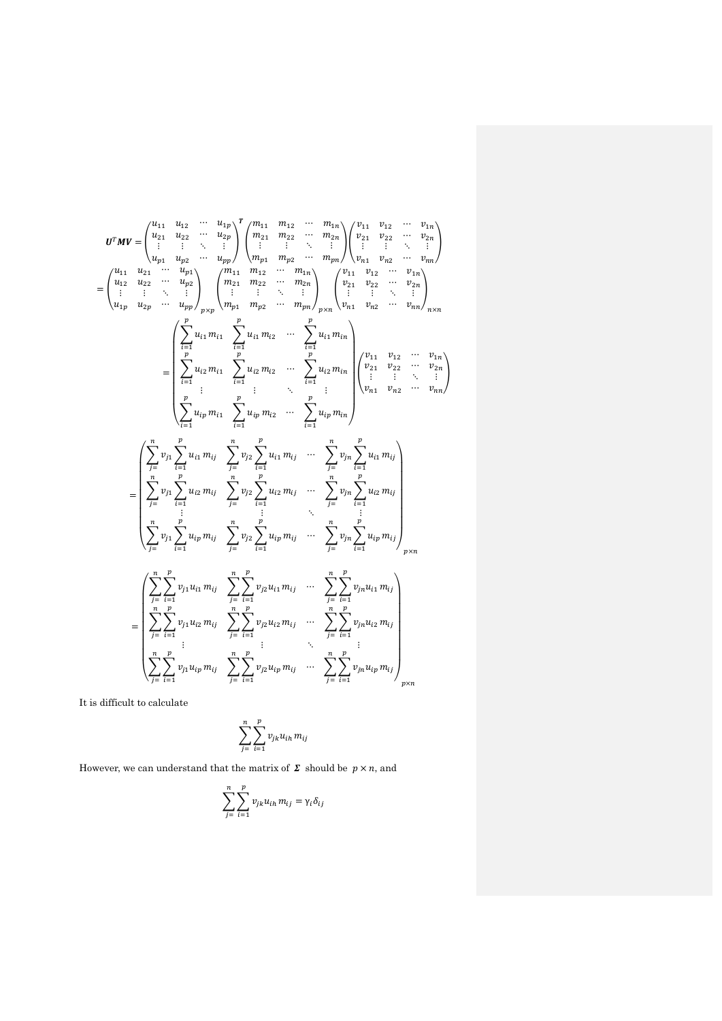$$
U^{T}MV = \begin{pmatrix} u_{11} & u_{12} & \cdots & u_{1p} \\ u_{21} & u_{22} & \cdots & u_{2p} \\ \vdots & \vdots & \ddots & \vdots \\ u_{p1} & u_{p2} & \cdots & u_{pp} \end{pmatrix} \begin{pmatrix} m_{11} & m_{12} & \cdots & m_{1n} \\ m_{21} & m_{22} & \cdots & m_{2n} \\ \vdots & \vdots & \vdots & \ddots & \vdots \\ m_{p1} & m_{p2} & \cdots & m_{pp} \end{pmatrix} \begin{pmatrix} v_{11} & v_{12} & \cdots & v_{1n} \\ v_{21} & v_{22} & \cdots & v_{2n} \\ v_{21} & v_{22} & \cdots & v_{2n} \\ \vdots & \vdots & \vdots & \vdots \\ v_{n1} & v_{22} & \cdots & v_{2n} \end{pmatrix}
$$
  
\n
$$
= \begin{pmatrix} u_{11} & u_{21} & \cdots & u_{p1} \\ u_{12} & u_{22} & \cdots & u_{pp} \\ u_{21} & u_{22} & \cdots & u_{pp} \end{pmatrix} \begin{pmatrix} m_{11} & m_{12} & \cdots & m_{1n} \\ m_{21} & m_{22} & \cdots & m_{2n} \\ \vdots & \vdots & \vdots & \vdots \\ m_{p1} & m_{p2} & \cdots & m_{pp} \end{pmatrix} \begin{pmatrix} v_{11} & v_{12} & \cdots & v_{1n} \\ v_{21} & v_{22} & \cdots & v_{2n} \\ v_{21} & v_{22} & \cdots & v_{2n} \\ v_{21} & v_{22} & \cdots & v_{2n} \\ \vdots & \vdots & \vdots & \vdots \\ v_{n1} & v_{n2} & \cdots & v_{nn} \end{pmatrix}
$$
  
\n
$$
= \begin{pmatrix} \sum_{i=1}^{n} u_{i1} m_{i1} & \sum_{i=1}^{n} u_{i2} m_{i2} & \cdots & \sum_{i=1}^{n} u_{i1} m_{i1} \\ \sum_{i=1}^{n} u_{i2} m_{i1} & \sum_{i=1}^{n} v_{i2} & \sum_{i=1}^{n} u_{
$$

It is difficult to calculate

$$
\sum_{j=-}^{n} \sum_{i=1}^{p} v_{jk} u_{ih} m_{ij}
$$

However, we can understand that the matrix of  $\Sigma$  should be  $p \times n$ , and

$$
\sum_{j=\iota=1}^n \sum_{i=1}^p v_{jk} u_{ih} \, m_{ij} = \gamma_i \delta_{ij}
$$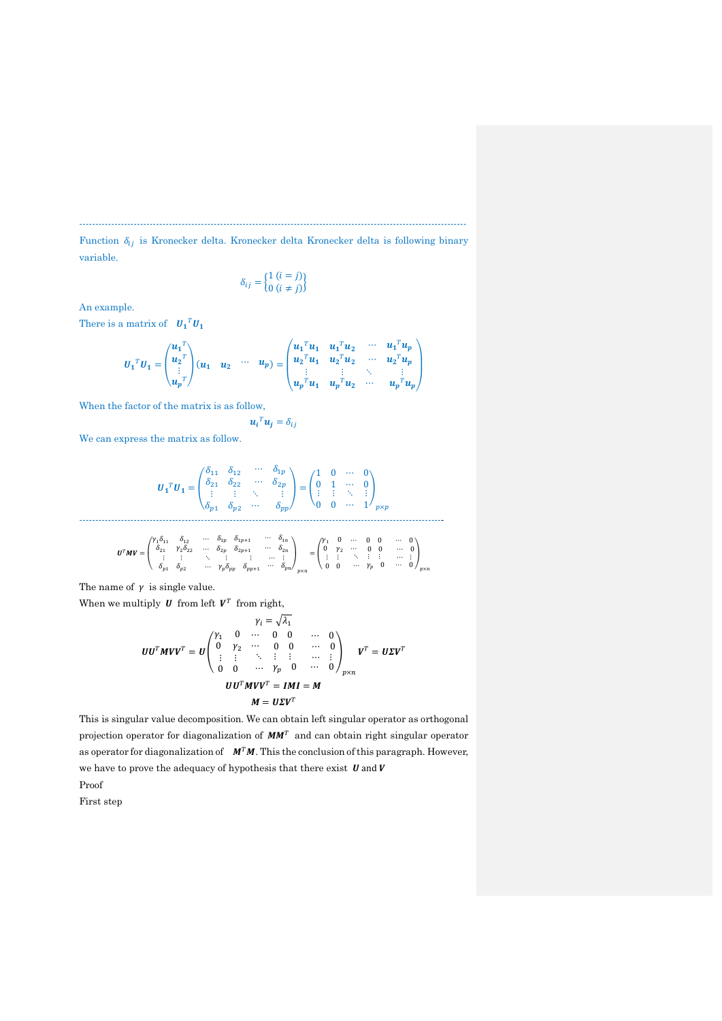Function  $\delta_{ij}$  is Kronecker delta. Kronecker delta Kronecker delta is following binary variable.

 $-$ 

$$
\delta_{ij} = \begin{cases} 1 (i = j) \\ 0 (i \neq j) \end{cases}
$$

An example.

There is a matrix of  $\boldsymbol{U_1}^T \boldsymbol{U_1}$ 

$$
U_1^T U_1 = \begin{pmatrix} u_1^T \\ u_2^T \\ \vdots \\ u_p^T \end{pmatrix} (u_1 \quad u_2 \quad \cdots \quad u_p) = \begin{pmatrix} u_1^T u_1 & u_1^T u_2 & \cdots & u_1^T u_p \\ u_2^T u_1 & u_2^T u_2 & \cdots & u_2^T u_p \\ \vdots & \vdots & \ddots & \vdots \\ u_p^T u_1 & u_p^T u_2 & \cdots & u_p^T u_p \end{pmatrix}
$$

 $\mathbf{u}_i^T \mathbf{u}_j = \delta_{ij}$ 

When the factor of the matrix is as follow,

We can express the matrix as follow.

$$
\boldsymbol{U}_1^T \boldsymbol{U}_1 = \begin{pmatrix} \delta_{11} & \delta_{12} & \cdots & \delta_{1p} \\ \delta_{21} & \delta_{22} & \cdots & \delta_{2p} \\ \vdots & \vdots & \ddots & \vdots \\ \delta_{p1} & \delta_{p2} & \cdots & \delta_{pp} \end{pmatrix} = \begin{pmatrix} 1 & 0 & \cdots & 0 \\ 0 & 1 & \cdots & 0 \\ \vdots & \vdots & \ddots & \vdots \\ 0 & 0 & \cdots & 1 \end{pmatrix}_{p \times p}
$$

$$
\pmb{U}^T\pmb{M}\pmb{V} = \begin{pmatrix} \gamma_1\delta_{11} & \delta_{12} & \cdots & \delta_{1p} & \delta_{1p+1} & \cdots & \delta_{1n} \\ \delta_{21} & \gamma_2\delta_{22} & \cdots & \delta_{2p} & \delta_{2p+1} & \cdots & \delta_{2n} \\ \vdots & \vdots & \ddots & \vdots & \vdots & \cdots & \vdots \\ \delta_{p1} & \delta_{p2} & \cdots & \gamma_p\delta_{pp} & \delta_{pp+1} & \cdots & \delta_{pn} \\ \end{pmatrix}_{p\times n} = \begin{pmatrix} \gamma_1 & 0 & \cdots & 0 & 0 & \cdots & 0 \\ 0 & \gamma_2 & \cdots & 0 & 0 & \cdots & 0 \\ \vdots & \vdots & \ddots & \vdots & \vdots & \cdots & \vdots \\ 0 & 0 & \cdots & \gamma_p & 0 & \cdots & 0 \\ \end{pmatrix}_{p\times n}
$$

The name of  $\gamma$  is single value.

When we multiply  $U$  from left  $V^T$  from right,

$$
\gamma_i = \sqrt{\lambda_1}
$$
  
\n
$$
UU^T M V V^T = U \begin{pmatrix} \gamma_1 & 0 & \cdots & 0 & 0 & \cdots & 0 \\ 0 & \gamma_2 & \cdots & 0 & 0 & \cdots & 0 \\ \vdots & \vdots & \ddots & \vdots & \vdots & \cdots & \vdots \\ 0 & 0 & \cdots & \gamma_p & 0 & \cdots & 0 \end{pmatrix}_{p \times n} V^T = U \Sigma V^T
$$
  
\n
$$
UU^T M V V^T = I M I = M
$$
  
\n
$$
M = U \Sigma V^T
$$

This is singular value decomposition. We can obtain left singular operator as orthogonal projection operator for diagonalization of  $MM<sup>T</sup>$  and can obtain right singular operator as operator for diagonalization of  $M<sup>T</sup>M$ . This the conclusion of this paragraph. However, we have to prove the adequacy of hypothesis that there exist  $U$  and  $V$ Proof

First step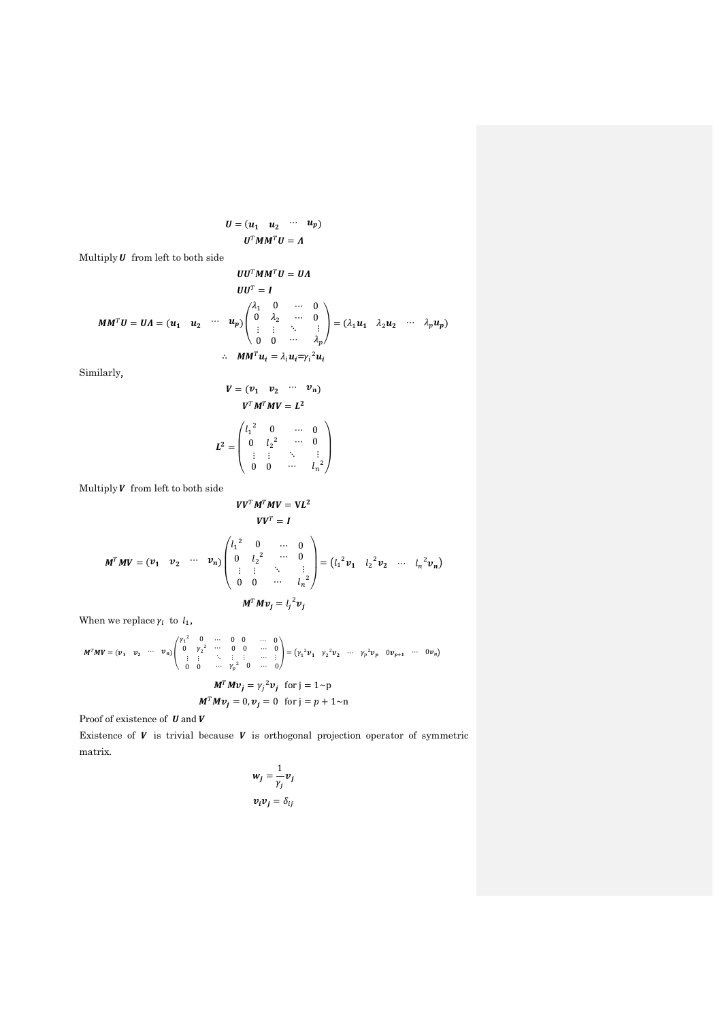$$
U = (u_1 \quad u_2 \quad \cdots \quad u_p)
$$

$$
U^T M M^T U = \Lambda
$$

Multiply  $\boldsymbol{U}$  from left to both side

$$
UUT MMT U = UA
$$
  
\n
$$
UUT = I
$$
  
\n
$$
MMT U = UA = (u1 u2 ... up) \begin{pmatrix} \lambda_1 & 0 & ... & 0 \\ 0 & \lambda_2 & ... & 0 \\ \vdots & \vdots & \ddots & \vdots \\ 0 & 0 & ... & \lambda_p \end{pmatrix} = (\lambda_1 u_1 \lambda_2 u_2 ... \lambda_p u_p)
$$
  
\n
$$
\therefore MMT ui = \lambda_i u_i = \gamma_i^2 u_i
$$

Similarly,

$$
V = (v_1 \quad v_2 \quad \cdots \quad v_n)
$$
  

$$
V^T M^T M V = L^2
$$
  

$$
L^2 = \begin{pmatrix} l_1^2 & 0 & \cdots & 0 \\ 0 & l_2^2 & \cdots & 0 \\ \vdots & \vdots & \ddots & \vdots \\ 0 & 0 & \cdots & l_n^2 \end{pmatrix}
$$

Multiply  $\boldsymbol{V}$  from left to both side

$$
VVTMTMV = VL2
$$

$$
VVT = I
$$

$$
M^T M V = (v_1 \quad v_2 \quad \cdots \quad v_n) \begin{pmatrix} l_1^2 & 0 & \cdots & 0 \\ 0 & l_2^2 & \cdots & 0 \\ \vdots & \vdots & \ddots & \vdots \\ 0 & 0 & \cdots & l_n^2 \end{pmatrix} = (l_1^2 v_1 \quad l_2^2 v_2 \quad \cdots \quad l_n^2 v_n)
$$

$$
M^T M v_j = l_j^2 v_j
$$

When we replace  $\gamma_i$  to  $l_1$ ,

$$
M^{T}MV = (v_{1} \quad v_{2} \quad \cdots \quad v_{n}) \begin{pmatrix} \gamma_{1}^{2} & 0 & \cdots & 0 & 0 & \cdots & 0 \\ 0 & \gamma_{2}^{2} & \cdots & 0 & 0 & \cdots & 0 \\ \vdots & \vdots & \ddots & \vdots & \vdots & \cdots & \vdots \\ 0 & 0 & \cdots & \gamma_{p}^{2} & 0 & \cdots & 0 \end{pmatrix} = (\gamma_{1}^{2}v_{1} \quad \gamma_{2}^{2}v_{2} \quad \cdots \quad \gamma_{p}^{2}v_{p} \quad 0v_{p+1} \quad \cdots \quad 0v_{n})
$$

$$
M^{T}Mv_{j} = (\gamma_{j}^{2}v_{j} \quad \text{for } j = 1 \sim p)
$$

$$
M^{T}Mv_{j} = 0, v_{j} = 0 \quad \text{for } j = p + 1 \sim n
$$

Proof of existence of  $\boldsymbol{U}$  and  $\boldsymbol{V}$ 

Existence of  $V$  is trivial because  $V$  is orthogonal projection operator of symmetric matrix.

$$
w_j = \frac{1}{\gamma_j} v_j
$$
  

$$
v_i v_j = \delta_{ij}
$$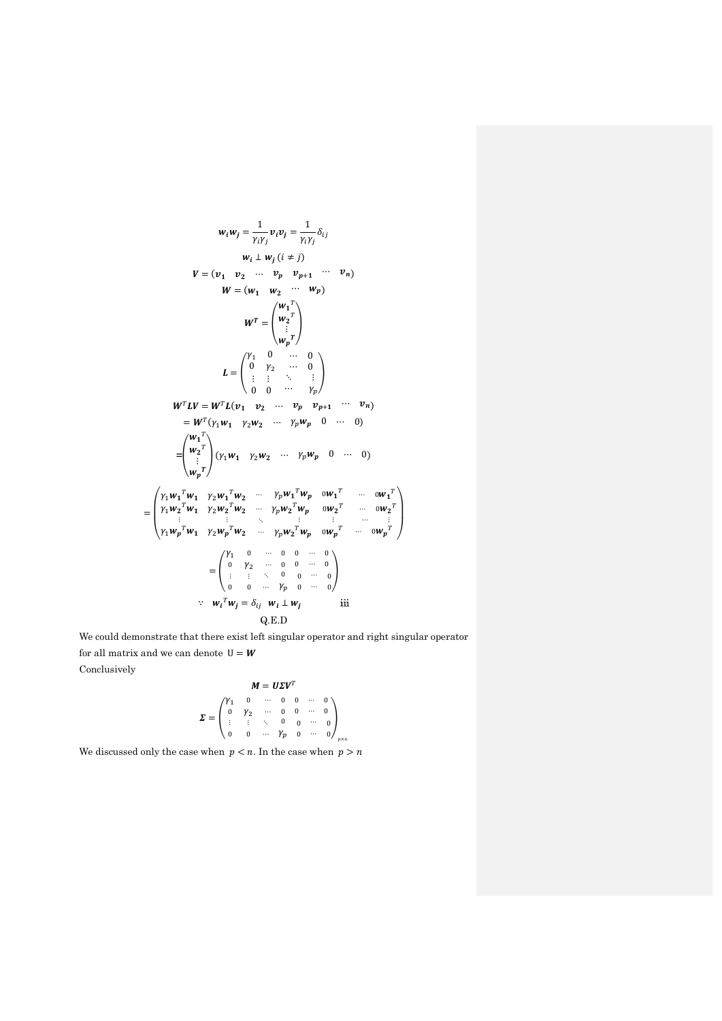$$
w_i w_j = \frac{1}{\gamma_i \gamma_j} v_i v_j = \frac{1}{\gamma_i \gamma_j} \delta_{ij}
$$
  
\n
$$
V = (v_1 \quad v_2 \quad \cdots \quad v_p \quad v_{p+1} \quad \cdots \quad v_n)
$$
  
\n
$$
W = (w_1 \quad w_2 \quad \cdots \quad w_p)
$$
  
\n
$$
W^T = \begin{pmatrix} w_1^T \\ w_2^T \\ \vdots \\ w_p^T \end{pmatrix}
$$
  
\n
$$
L = \begin{pmatrix} \gamma_1 & 0 & \cdots & 0 \\ 0 & \gamma_2 & \cdots & 0 \\ \vdots & \vdots & \ddots & \vdots \\ 0 & 0 & \cdots & \gamma_p \end{pmatrix}
$$
  
\n
$$
W^T L V = W^T L (v_1 \quad v_2 \quad \cdots \quad v_p \quad v_{p+1} \quad \cdots \quad v_n)
$$
  
\n
$$
= W^T (\gamma_1 w_1 \quad \gamma_2 w_2 \quad \cdots \quad \gamma_p w_p \quad 0 \quad \cdots \quad 0)
$$
  
\n
$$
= \begin{pmatrix} w_1^T \\ w_2^T \\ \vdots \\ w_p^T \end{pmatrix} (\gamma_1 w_1 \quad \gamma_2 w_2 \quad \cdots \quad \gamma_p w_p \quad 0 \quad \cdots \quad 0)
$$
  
\n
$$
= \begin{pmatrix} \gamma_1 w_1^T w_1 & \gamma_2 w_1^T w_2 & \cdots & \gamma_p w_1^T w_p & 0 w_1^T & \cdots & 0 w_1^T \\ \gamma_1 w_2^T w_1 & \gamma_2 w_2^T w_2 & \cdots & \gamma_p w_2^T w_p & 0 w_2^T & \cdots & 0 w_2^T \\ \vdots & \vdots & \ddots & \vdots & \vdots & \vdots & \cdots & \vdots \\ \gamma_1 w_p^T w_1 & \gamma_2 w_p^T w_2 & \cdots & \gamma_p w_2^T w_p & 0 w_p^T & \cdots & 0 w_p^T \end{pmatrix}
$$
  
\n
$$
= \begin{pmatrix} \gamma_1 & 0 & \cdots & 0 & 0 & \cdots & 0 \\ 0 & \gamma_2 & \cdots & 0 & 0 & \cdots & 0 \\ \vdots & \vd
$$

We could demonstrate that there exist left singular operator and right singular operator for all matrix and we can denote  $\,\mathsf{U} = \pmb{W}\,$ Conclusively

$$
M = U\Sigma V^{T}
$$
  

$$
\Sigma = \begin{pmatrix} \gamma_{1} & 0 & \cdots & 0 & 0 & \cdots & 0 \\ 0 & \gamma_{2} & \cdots & 0 & 0 & \cdots & 0 \\ \vdots & \vdots & \ddots & 0 & 0 & \cdots & 0 \\ 0 & 0 & \cdots & \gamma_{p} & 0 & \cdots & 0 \end{pmatrix}_{p \times n}
$$

We discussed only the case when  $\,p < n.$  In the case when  $\,p > n$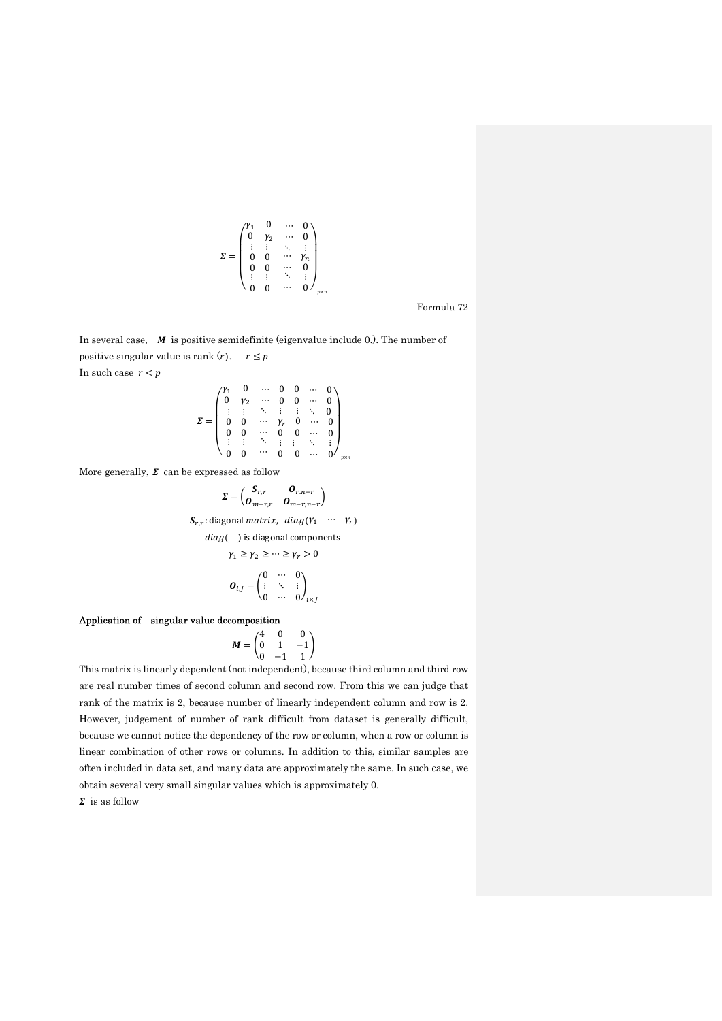$$
\pmb{\Sigma} = \begin{pmatrix} \gamma_1 & 0 & \cdots & 0 \\ 0 & \gamma_2 & \cdots & 0 \\ \vdots & \vdots & \ddots & \vdots \\ 0 & 0 & \cdots & \gamma_n \\ 0 & 0 & \cdots & 0 \\ \vdots & \vdots & \ddots & \vdots \\ 0 & 0 & \cdots & 0 \end{pmatrix}_{p \times r}
$$

Formula 72

In several case,  $M$  is positive semidefinite (eigenvalue include 0.). The number of positive singular value is rank  $(r)$ .  $r \leq p$ In such case  $\,r < p\,$ 

$$
\Sigma = \begin{pmatrix}\nV_1 & 0 & \cdots & 0 & 0 & \cdots & 0 \\
0 & V_2 & \cdots & 0 & 0 & \cdots & 0 \\
\vdots & \vdots & \ddots & \vdots & \vdots & \ddots & 0 \\
0 & 0 & \cdots & V_r & 0 & \cdots & 0 \\
0 & 0 & \cdots & 0 & 0 & \cdots & 0 \\
\vdots & \vdots & \ddots & \vdots & \vdots & \ddots & \vdots \\
0 & 0 & \cdots & 0 & 0 & \cdots & 0\n\end{pmatrix}_{p \times n}
$$

More generally,  $\Sigma$  can be expressed as follow

$$
\Sigma = \begin{pmatrix} S_{r,r} & O_{r,n-r} \\ O_{m-r,r} & O_{m-r,n-r} \end{pmatrix}
$$
  
\n
$$
S_{r,r}
$$
: diagonal matrix, diag( $\gamma_1$  ...  $\gamma_r$ )  
\n
$$
diag(\ )
$$
 is diagonal components  
\n
$$
\gamma_1 \ge \gamma_2 \ge \dots \ge \gamma_r > 0
$$
  
\n
$$
O_{i,j} = \begin{pmatrix} 0 & \cdots & 0 \\ \vdots & \ddots & \vdots \\ 0 & \cdots & 0 \end{pmatrix}_{i \times j}
$$

Application of singular value decomposition

$$
M = \begin{pmatrix} 4 & 0 & 0 \\ 0 & 1 & -1 \\ 0 & -1 & 1 \end{pmatrix}
$$

This matrix is linearly dependent (not independent), because third column and third row are real number times of second column and second row. From this we can judge that rank of the matrix is 2, because number of linearly independent column and row is 2. However, judgement of number of rank difficult from dataset is generally difficult, because we cannot notice the dependency of the row or column, when a row or column is linear combination of other rows or columns. In addition to this, similar samples are often included in data set, and many data are approximately the same. In such case, we obtain several very small singular values which is approximately 0.

 $\Sigma$  is as follow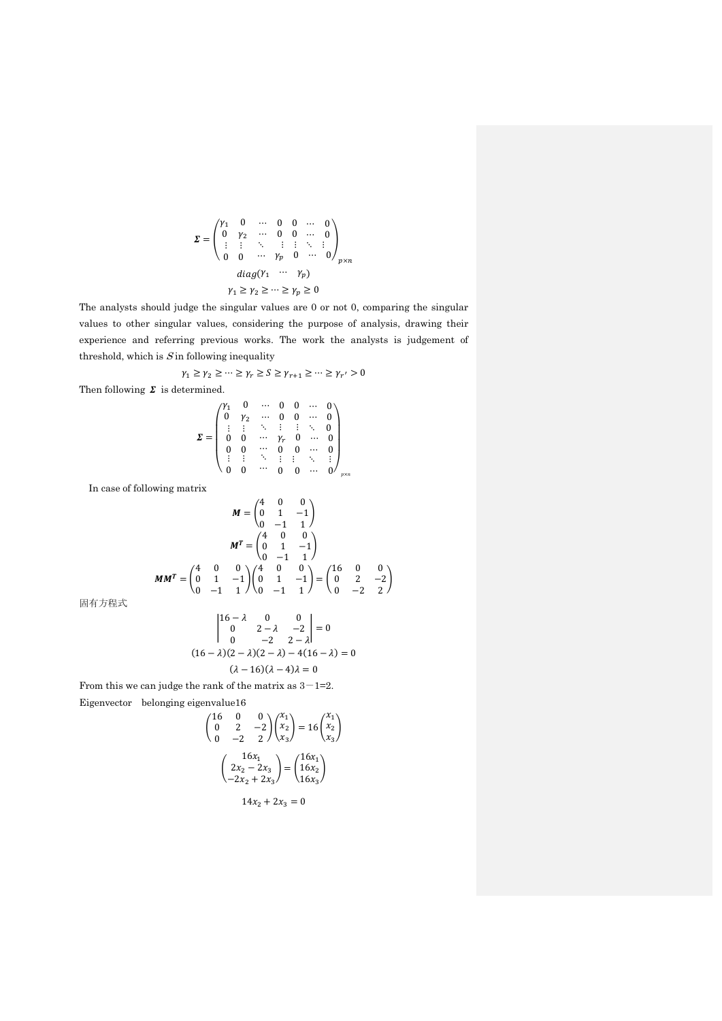$$
\Sigma = \begin{pmatrix} \gamma_1 & 0 & \cdots & 0 & 0 & \cdots & 0 \\ 0 & \gamma_2 & \cdots & 0 & 0 & \cdots & 0 \\ \vdots & \vdots & \ddots & \vdots & \vdots & \ddots & \vdots \\ 0 & 0 & \cdots & \gamma_p & 0 & \cdots & 0 \end{pmatrix}_{p \times n}
$$

$$
diag(Y_1 \cdots Y_p)
$$

$$
\gamma_1 \ge \gamma_2 \ge \cdots \ge \gamma_p \ge 0
$$

The analysts should judge the singular values are 0 or not 0, comparing the singular values to other singular values, considering the purpose of analysis, drawing their experience and referring previous works. The work the analysts is judgement of threshold, which is  $S$  in following inequality

$$
\gamma_1 \ge \gamma_2 \ge \cdots \ge \gamma_r \ge S \ge \gamma_{r+1} \ge \cdots \ge \gamma_{r'} > 0
$$

Then following  $\boldsymbol{\varSigma}$  is determined.

$$
\pmb{\Sigma} = \left( \begin{array}{cccccc} \gamma_1 & 0 & \cdots & 0 & 0 & \cdots & 0 \\ 0 & \gamma_2 & \cdots & 0 & 0 & \cdots & 0 \\ \vdots & \vdots & \ddots & \vdots & \vdots & \ddots & 0 \\ 0 & 0 & \cdots & \gamma_r & 0 & \cdots & 0 \\ 0 & 0 & \cdots & 0 & 0 & \cdots & 0 \\ \vdots & \vdots & \ddots & \vdots & \vdots & \ddots & \vdots \\ 0 & 0 & \cdots & 0 & 0 & \cdots & 0 \\ \end{array} \right)_{p \times n}
$$

In case of following matrix

$$
M = \begin{pmatrix} 4 & 0 & 0 \\ 0 & 1 & -1 \\ 0 & -1 & 1 \end{pmatrix}
$$

$$
MT = \begin{pmatrix} 4 & 0 & 0 \\ 0 & 1 & -1 \\ 0 & -1 & 1 \end{pmatrix}
$$

$$
MMT = \begin{pmatrix} 4 & 0 & 0 \\ 0 & 1 & -1 \\ 0 & -1 & 1 \end{pmatrix} \begin{pmatrix} 4 & 0 & 0 \\ 0 & 1 & -1 \\ 0 & -1 & 1 \end{pmatrix} = \begin{pmatrix} 16 & 0 & 0 \\ 0 & 2 & -2 \\ 0 & -2 & 2 \end{pmatrix}
$$

固有方程式

$$
\begin{vmatrix} 16 - \lambda & 0 & 0 \\ 0 & 2 - \lambda & -2 \\ 0 & -2 & 2 - \lambda \end{vmatrix} = 0
$$
  
(16 - \lambda)(2 - \lambda)(2 - \lambda) - 4(16 - \lambda) = 0  
(\lambda - 16)(\lambda - 4)\lambda = 0

From this we can judge the rank of the matrix as  $3-1=2$ .

Eigenvector belonging eigenvalue16

$$
\begin{pmatrix} 16 & 0 & 0 \ 0 & 2 & -2 \ 0 & -2 & 2 \ \end{pmatrix} \begin{pmatrix} x_1 \ x_2 \ x_3 \end{pmatrix} = 16 \begin{pmatrix} x_1 \ x_2 \ x_3 \end{pmatrix}
$$

$$
\begin{pmatrix} 16x_1 \ 2x_2 - 2x_3 \ -2x_2 + 2x_3 \ \end{pmatrix} = \begin{pmatrix} 16x_1 \ 16x_2 \ 16x_3 \end{pmatrix}
$$

 $14x_2 + 2x_3 = 0$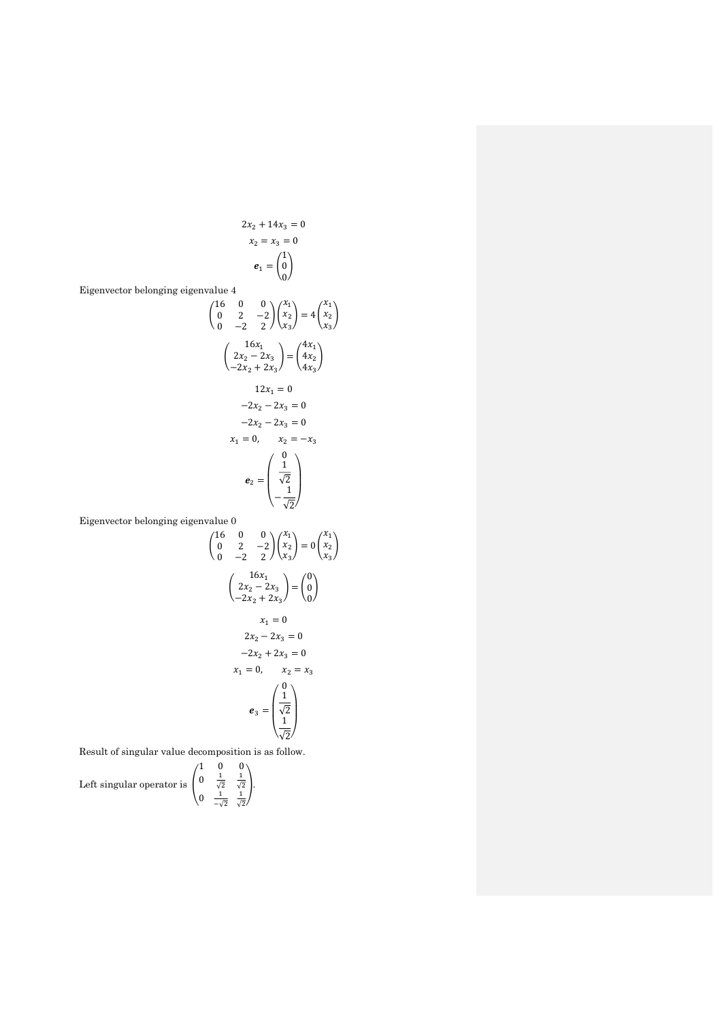$$
2x2 + 14x3 = 0
$$

$$
x2 = x3 = 0
$$

$$
e1 = \begin{pmatrix} 1 \\ 0 \\ 0 \end{pmatrix}
$$

 $\overline{1}$ 

 $\overline{1}$ 

Eigenvector belonging eigenvalue 4

$$
\begin{pmatrix}\n16 & 0 & 0 \\
0 & 2 & -2 \\
0 & -2 & 2\n\end{pmatrix}\n\begin{pmatrix}\nx_1 \\
x_2 \\
x_3\n\end{pmatrix} = 4 \begin{pmatrix}\nx_1 \\
x_2 \\
x_3\n\end{pmatrix}
$$
\n
$$
\begin{pmatrix}\n16x_1 \\
2x_2 - 2x_3 \\
-2x_2 + 2x_3\n\end{pmatrix} = \begin{pmatrix}\n4x_1 \\
4x_2 \\
4x_3\n\end{pmatrix}
$$
\n
$$
12x_1 = 0
$$
\n
$$
-2x_2 - 2x_3 = 0
$$
\n
$$
-2x_2 - 2x_3 = 0
$$
\n
$$
x_1 = 0, \quad x_2 = -x_3
$$
\n
$$
e_2 = \begin{pmatrix}\n0 \\
\frac{1}{\sqrt{2}} \\
-\frac{1}{\sqrt{2}}\n\end{pmatrix}
$$

Eigenvector belonging eigenvalue 0

 $\mathcal{L}$ 

16 0 0   
\n0 2 -2 
$$
\begin{pmatrix} x_1 \\ x_2 \\ x_3 \end{pmatrix} = 0 \begin{pmatrix} x_1 \\ x_2 \\ x_3 \end{pmatrix}
$$
  
\n $\begin{pmatrix} 16x_1 \\ 2x_2 - 2x_3 \\ -2x_2 + 2x_3 \end{pmatrix} = \begin{pmatrix} 0 \\ 0 \\ 0 \end{pmatrix}$   
\n $x_1 = 0$   
\n $2x_2 - 2x_3 = 0$   
\n $-2x_2 + 2x_3 = 0$   
\n $x_1 = 0$ ,  $x_2 = x_3$   
\n $e_3 = \begin{pmatrix} 0 \\ \frac{1}{\sqrt{2}} \\ \frac{1}{\sqrt{2}} \end{pmatrix}$ 

Result of singular value decomposition is as follow.

Left singular operator is 
$$
\begin{pmatrix} 1 & 0 & 0 \ 0 & \frac{1}{\sqrt{2}} & \frac{1}{\sqrt{2}} \\ 0 & \frac{1}{-\sqrt{2}} & \frac{1}{\sqrt{2}} \end{pmatrix}.
$$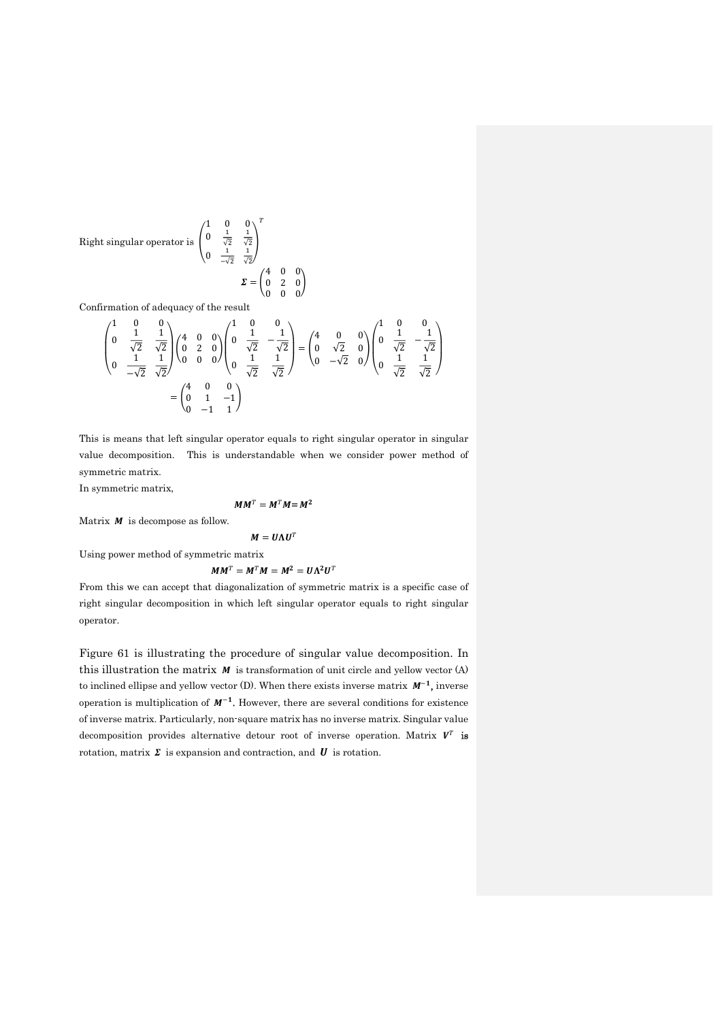Right singular operator is 
$$
\begin{pmatrix} 1 & 0 & 0 \ 0 & \frac{1}{\sqrt{2}} & \frac{1}{\sqrt{2}} \\ 0 & \frac{1}{-\sqrt{2}} & \frac{1}{\sqrt{2}} \end{pmatrix}^{T}
$$

$$
\Sigma = \begin{pmatrix} 4 & 0 & 0 \\ 0 & 2 & 0 \\ 0 & 0 & 0 \end{pmatrix}
$$

Confirmation of adequacy of the result

$$
\begin{pmatrix} 1 & 0 & 0 \ 0 & \frac{1}{\sqrt{2}} & \frac{1}{\sqrt{2}} \\ 0 & \frac{1}{\sqrt{2}} & \frac{1}{\sqrt{2}} \end{pmatrix} \begin{pmatrix} 4 & 0 & 0 \\ 0 & 2 & 0 \\ 0 & 0 & 0 \end{pmatrix} \begin{pmatrix} 1 & 0 & 0 \\ 0 & \frac{1}{\sqrt{2}} & -\frac{1}{\sqrt{2}} \\ 0 & \frac{1}{\sqrt{2}} & \frac{1}{\sqrt{2}} \end{pmatrix} = \begin{pmatrix} 4 & 0 & 0 \\ 0 & \sqrt{2} & 0 \\ 0 & -\sqrt{2} & 0 \end{pmatrix} \begin{pmatrix} 1 & 0 & 0 \\ 0 & \frac{1}{\sqrt{2}} & -\frac{1}{\sqrt{2}} \\ 0 & \frac{1}{\sqrt{2}} & \frac{1}{\sqrt{2}} \end{pmatrix} = \begin{pmatrix} 4 & 0 & 0 \\ 0 & \frac{1}{\sqrt{2}} & 0 \\ 0 & -1 & 1 \end{pmatrix}
$$

This is means that left singular operator equals to right singular operator in singular value decomposition. This is understandable when we consider power method of symmetric matrix.

In symmetric matrix,

## $MM^T = M^T M = M^2$

Matrix  $\boldsymbol{M}$  is decompose as follow.

$$
M = U \Lambda U^T
$$

Using power method of symmetric matrix

 $MM^T = M^T M = M^2 = U \Lambda^2 U^T$ 

From this we can accept that diagonalization of symmetric matrix is a specific case of right singular decomposition in which left singular operator equals to right singular operator.

Figure 61 is illustrating the procedure of singular value decomposition. In this illustration the matrix  $M$  is transformation of unit circle and yellow vector (A) to inclined ellipse and yellow vector  $(D)$ . When there exists inverse matrix  $M^{-1}$ , inverse operation is multiplication of  $M^{-1}$ . However, there are several conditions for existence of inverse matrix. Particularly, non-square matrix has no inverse matrix. Singular value decomposition provides alternative detour root of inverse operation. Matrix  $V^T$  is rotation, matrix  $\Sigma$  is expansion and contraction, and  $U$  is rotation.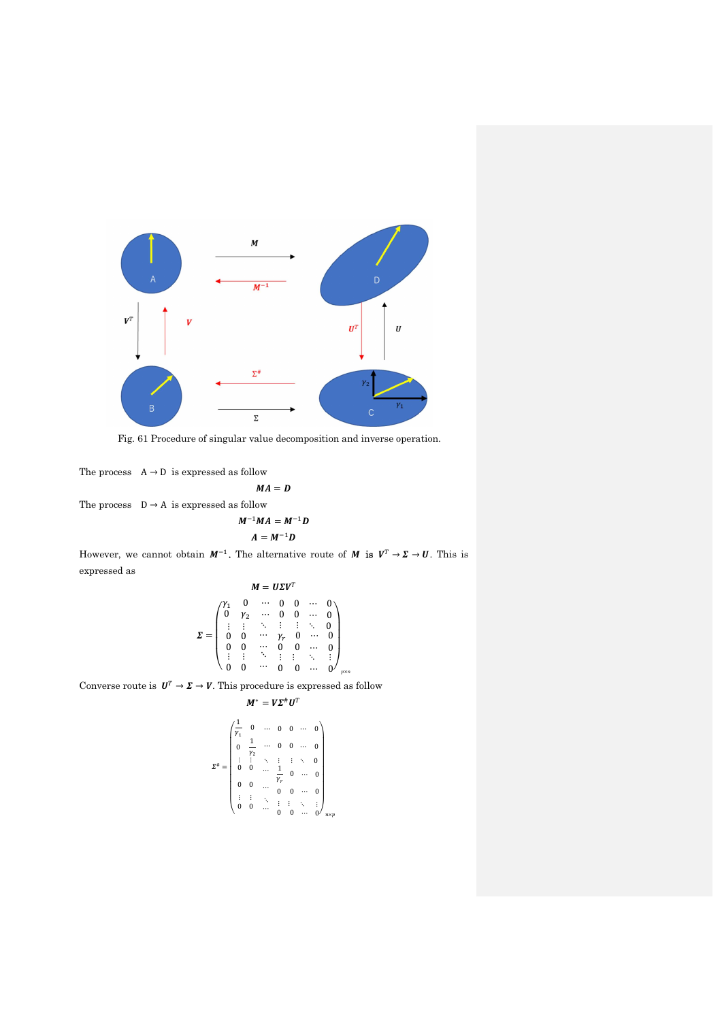

Fig. 61 Procedure of singular value decomposition and inverse operation.

$$
M^{-1}MA = M^{-1}L
$$

$$
A - M^{-1}D
$$

However, we cannot obtain  $M^{-1}$ . The alternative route of M is  $V^T \to \Sigma \to U$ . This is expressed as

$$
\sum_{\text{P}} \sum_{\text{p}} \text{for singular value decomposition and inverse operation.}
$$
\n
$$
M = D
$$
\n
$$
M = D
$$
\n
$$
M = M^{-1}D
$$
\n
$$
A = M^{-1}D
$$
\n
$$
A = M^{-1}D
$$
\n
$$
A = M^{-1}D
$$
\n
$$
M = UZV^{T}
$$
\n
$$
\sum_{\begin{array}{c} m \equiv UZV^{T} \\ \text{if } m \equiv 0 \pmod{0} \\ \text{if } m \equiv 0 \pmod{0} \\ \text{if } m \equiv 0 \pmod{0} \\ \text{if } m \equiv 0 \pmod{0} \\ \text{if } m \equiv 0 \pmod{0} \\ \text{if } m \equiv 0 \pmod{0} \\ \text{if } m \equiv 0 \pmod{0} \\ \text{if } m \equiv 0 \pmod{0} \\ \text{if } m \equiv 0 \pmod{0} \pmod{0} \\ \text{if } m \equiv VZ^{H}U^{T}
$$
\n
$$
\rightarrow V. This proceeds is expressed as follow
$$
\n
$$
M^{*} = VZ^{H}U^{T}
$$
\n
$$
\sum_{\begin{array}{c} m \equiv 0 \pmod{0} \\ \text{if } m \equiv 0 \pmod{0} \\ \text{if } m \equiv 0 \pmod{0} \\ \text{if } m \equiv 0 \pmod{0} \\ \text{if } m \equiv 0 \pmod{0} \\ \text{if } m \equiv 0 \pmod{0} \\ \text{if } m \equiv 0 \pmod{0} \\ \text{if } m \equiv 0 \pmod{0} \\ \text{if } m \equiv 0 \pmod{0} \\ \text{if } m \equiv 0 \pmod{0} \\ \text{if } m \equiv 0 \pmod{0} \\ \text{if } m \equiv 0 \pmod{0} \\ \text{if } m \equiv 0 \pmod{0} \\ \text{if } m \equiv 0 \pmod{0} \\ \text{if } m \equiv 0 \pmod{0} \\ \text{if } m \equiv 0 \pmod{0} \\ \text{if } m \equiv 0 \pmod{0} \\ \text{if } m \equiv 0 \pmod{0} \\ \text{if } m \equiv 0 \pmod{0} \\ \text{if } m \equiv 0 \pmod{0} \\ \text{if } m \equiv 0 \pmod{0} \\ \text{if
$$

singular value decomposition and inverse operation.  
\nseed as follow  
\n
$$
MA = D
$$
\n
$$
A = M^{-1}D
$$
\n
$$
A = M^{-1}D
$$
\n
$$
M^{-1}MA = M^{-1}D
$$
\n
$$
M = U\Sigma V^{T}
$$
\n
$$
M = U\Sigma V^{T}
$$
\n
$$
\begin{pmatrix}\n\gamma_{1} & 0 & \cdots & 0 & 0 & \cdots & 0 \\
0 & \gamma_{2} & \cdots & 0 & 0 & \cdots & 0 \\
\vdots & \vdots & \ddots & \vdots & \vdots & \ddots & 0 \\
0 & 0 & \cdots & 0 & 0 & \cdots & 0 \\
\vdots & \vdots & \ddots & \vdots & \vdots & \ddots & 0 \\
0 & 0 & \cdots & 0 & 0 & \cdots & 0 \\
\vdots & \vdots & \ddots & \vdots & \vdots & \ddots & \vdots \\
0 & 0 & \cdots & 0 & 0 & \cdots & 0 \\
\vdots & \vdots & \ddots & \vdots & \vdots & \ddots & \vdots \\
0 & 0 & \cdots & 0 & 0 & \cdots & 0 \\
\vdots & \vdots & \ddots & \vdots & \vdots & \ddots & 0 \\
0 & \frac{1}{V_{2}} & \cdots & 0 & \cdots & 0 & \cdots & 0 \\
0 & \frac{1}{V_{2}} & \cdots & 0 & \cdots & 0 & \cdots & 0 \\
\vdots & \vdots & \ddots & \vdots & \vdots & \ddots & \vdots \\
0 & 0 & \cdots & 0 & \cdots & 0 & \cdots & 0 \\
\vdots & \vdots & \ddots & \vdots & \vdots & \ddots & \vdots \\
0 & 0 & \cdots & 0 & \cdots & 0 & \cdots & 0 \\
\vdots & \vdots & \ddots & \vdots & \vdots & \ddots & \vdots \\
0 & 0 & \cdots & 0 & \cdots & 0 & \cdots & 0 \\
\end{pmatrix}_{m_{p}}
$$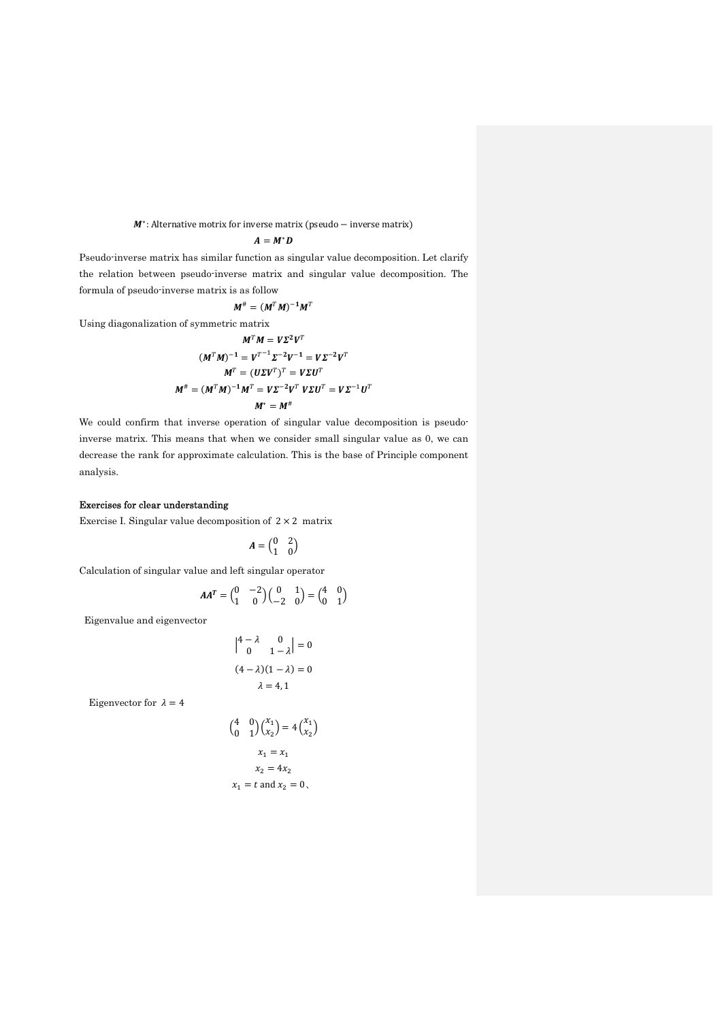M<sup>\*</sup>: Alternative motrix for inverse matrix (pseudo – inverse matrix)

$$
A=M^*D
$$

Pseudo-inverse matrix has similar function as singular value decomposition. Let clarify the relation between pseudo-inverse matrix and singular value decomposition. The formula of pseudo-inverse matrix is as follow

$$
M^{\#} = (M^T M)^{-1} M^T
$$

Using diagonalization of symmetric matrix

$$
MT M = V\Sigma2 VT
$$
  
\n
$$
(MT M)-1 = VT-1 \Sigma-2 V-1 = V\Sigma-2 VT
$$
  
\n
$$
MT = (U\Sigma VT)T = V\Sigma UT
$$
  
\n
$$
M# = (MT M)-1 MT = V\Sigma-2 VT V\Sigma UT = V\Sigma-1 UT
$$
  
\n
$$
M* = M#
$$

We could confirm that inverse operation of singular value decomposition is pseudoinverse matrix. This means that when we consider small singular value as 0, we can decrease the rank for approximate calculation. This is the base of Principle component analysis.

## Exercises for clear understanding

Exercise I. Singular value decomposition of  $2 \times 2$  matrix

$$
A=\begin{pmatrix} 0 & 2 \\ 1 & 0 \end{pmatrix}
$$

Calculation of singular value and left singular operator

$$
AA^T = \begin{pmatrix} 0 & -2 \\ 1 & 0 \end{pmatrix} \begin{pmatrix} 0 & 1 \\ -2 & 0 \end{pmatrix} = \begin{pmatrix} 4 & 0 \\ 0 & 1 \end{pmatrix}
$$

Eigenvalue and eigenvector

$$
\begin{vmatrix} 4 - \lambda & 0 \\ 0 & 1 - \lambda \end{vmatrix} = 0
$$
  
(4 - \lambda)(1 - \lambda) = 0  

$$
\lambda = 4, 1
$$

Eigenvector for  $\lambda = 4$ 

$$
\begin{pmatrix} 4 & 0 \ 0 & 1 \end{pmatrix} \begin{pmatrix} x_1 \ x_2 \end{pmatrix} = 4 \begin{pmatrix} x_1 \ x_2 \end{pmatrix}
$$

$$
x_1 = x_1
$$

$$
x_2 = 4x_2
$$

$$
x_1 = t \text{ and } x_2 = 0,
$$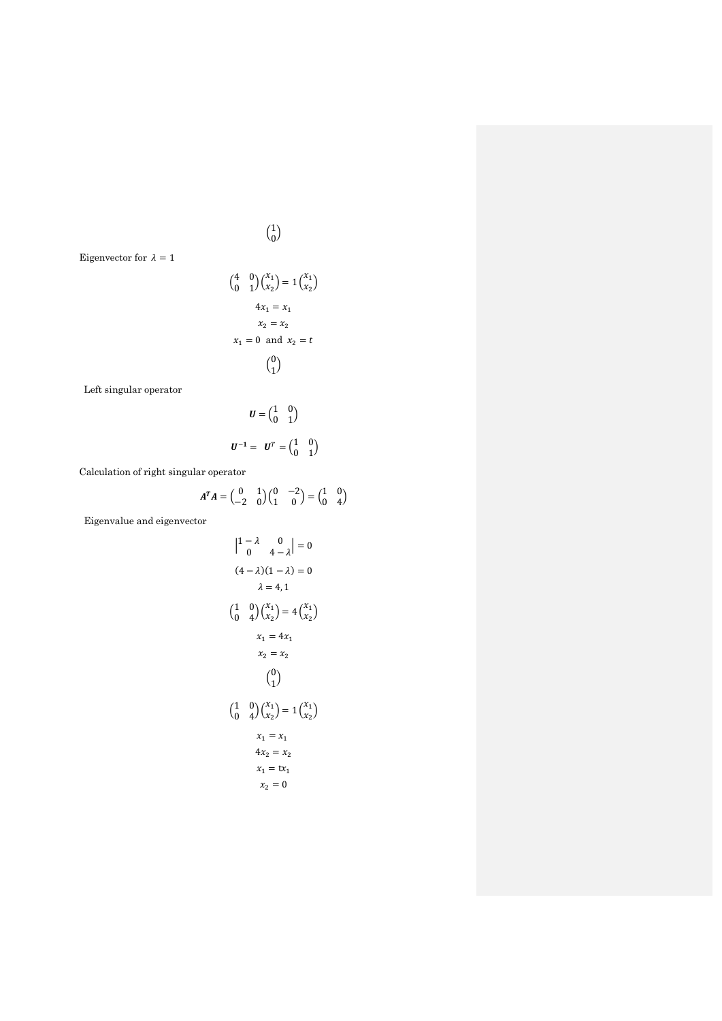Eigenvector for  $\lambda=1$ 

$$
\begin{pmatrix} 4 & 0 \ 0 & 1 \end{pmatrix} \begin{pmatrix} x_1 \\ x_2 \end{pmatrix} = 1 \begin{pmatrix} x_1 \\ x_2 \end{pmatrix}
$$

$$
4x_1 = x_1
$$

$$
x_2 = x_2
$$

$$
x_1 = 0 \text{ and } x_2 = t
$$

$$
\begin{pmatrix} 0 \\ 1 \end{pmatrix}
$$

 $\binom{1}{0}$  $_{0}^{1}$ 

Left singular operator

$$
U = \begin{pmatrix} 1 & 0 \\ 0 & 1 \end{pmatrix}
$$

$$
U^{-1} = U^{T} = \begin{pmatrix} 1 & 0 \\ 0 & 1 \end{pmatrix}
$$

Calculation of right singular operator

$$
A^T A = \begin{pmatrix} 0 & 1 \\ -2 & 0 \end{pmatrix} \begin{pmatrix} 0 & -2 \\ 1 & 0 \end{pmatrix} = \begin{pmatrix} 1 & 0 \\ 0 & 4 \end{pmatrix}
$$

Eigenvalue and eigenvector

$$
\begin{vmatrix} 1 - \lambda & 0 \\ 0 & 4 - \lambda \end{vmatrix} = 0
$$
  
(4 - \lambda)(1 - \lambda) = 0  

$$
\lambda = 4, 1
$$
  

$$
\begin{pmatrix} 1 & 0 \\ 0 & 4 \end{pmatrix} \begin{pmatrix} x_1 \\ x_2 \end{pmatrix} = 4 \begin{pmatrix} x_1 \\ x_2 \end{pmatrix}
$$
  

$$
x_1 = 4x_1
$$
  

$$
x_2 = x_2
$$
  

$$
\begin{pmatrix} 0 \\ 1 \end{pmatrix}
$$
  

$$
\begin{pmatrix} 1 & 0 \\ 0 & 4 \end{pmatrix} \begin{pmatrix} x_1 \\ x_2 \end{pmatrix} = 1 \begin{pmatrix} x_1 \\ x_2 \end{pmatrix}
$$
  

$$
x_1 = x_1
$$
  

$$
4x_2 = x_2
$$
  

$$
x_1 = tx_1
$$
  

$$
x_2 = 0
$$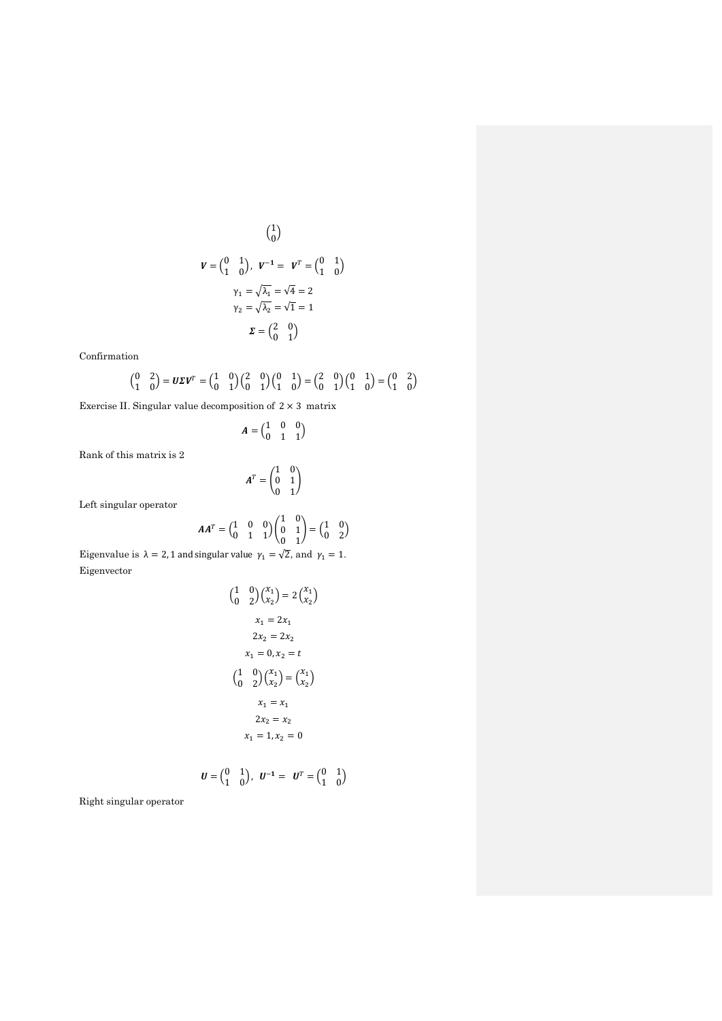$$
\begin{pmatrix} 1 \\ 0 \end{pmatrix}
$$

$$
\mathbf{V} = \begin{pmatrix} 0 & 1 \\ 1 & 0 \end{pmatrix}, \quad \mathbf{V}^{-1} = \mathbf{V}^{T} = \begin{pmatrix} 0 & 1 \\ 1 & 0 \end{pmatrix}
$$

$$
\begin{aligned} \gamma_1 &= \sqrt{\lambda_1} = \sqrt{4} = 2\\ \gamma_2 &= \sqrt{\lambda_2} = \sqrt{1} = 1\\ \mathbf{\Sigma} &= \begin{pmatrix} 2 & 0 \\ 0 & 1 \end{pmatrix} \end{aligned}
$$

Confirmation

$$
\begin{pmatrix} 0 & 2 \\ 1 & 0 \end{pmatrix} = \boldsymbol{U}\boldsymbol{\varSigma}\boldsymbol{V}^T = \begin{pmatrix} 1 & 0 \\ 0 & 1 \end{pmatrix} \begin{pmatrix} 2 & 0 \\ 0 & 1 \end{pmatrix} \begin{pmatrix} 0 & 1 \\ 1 & 0 \end{pmatrix} = \begin{pmatrix} 2 & 0 \\ 0 & 1 \end{pmatrix} \begin{pmatrix} 0 & 1 \\ 1 & 0 \end{pmatrix} = \begin{pmatrix} 0 & 2 \\ 1 & 0 \end{pmatrix}
$$

Exercise II. Singular value decomposition of  $2 \times 3$  matrix

$$
A=\begin{pmatrix} 1 & 0 & 0 \\ 0 & 1 & 1 \end{pmatrix}
$$

Rank of this matrix is 2

$$
\boldsymbol{A}^T = \begin{pmatrix} 1 & 0 \\ 0 & 1 \\ 0 & 1 \end{pmatrix}
$$

Left singular operator

$$
AA^T = \begin{pmatrix} 1 & 0 & 0 \\ 0 & 1 & 1 \end{pmatrix} \begin{pmatrix} 1 & 0 \\ 0 & 1 \\ 0 & 1 \end{pmatrix} = \begin{pmatrix} 1 & 0 \\ 0 & 2 \end{pmatrix}
$$

Eigenvalue is  $\lambda = 2$ , 1 and singular value  $\gamma_1 = \sqrt{2}$ , and  $\gamma_1 = 1$ . Eigenvector

$$
\begin{pmatrix} 1 & 0 \\ 0 & 2 \end{pmatrix} \begin{pmatrix} x_1 \\ x_2 \end{pmatrix} = 2 \begin{pmatrix} x_1 \\ x_2 \end{pmatrix}
$$

$$
x_1 = 2x_1
$$

$$
2x_2 = 2x_2
$$

$$
x_1 = 0, x_2 = t
$$

$$
\begin{pmatrix} 1 & 0 \\ 0 & 2 \end{pmatrix} \begin{pmatrix} x_1 \\ x_2 \end{pmatrix} = \begin{pmatrix} x_1 \\ x_2 \end{pmatrix}
$$

$$
x_1 = x_1
$$

$$
2x_2 = x_2
$$

$$
x_1 = 1, x_2 = 0
$$

$$
\boldsymbol{U} = \begin{pmatrix} 0 & 1 \\ 1 & 0 \end{pmatrix}, \ \boldsymbol{U}^{-1} = \ \boldsymbol{U}^{T} = \begin{pmatrix} 0 & 1 \\ 1 & 0 \end{pmatrix}
$$

 $\sim$ 

Right singular operator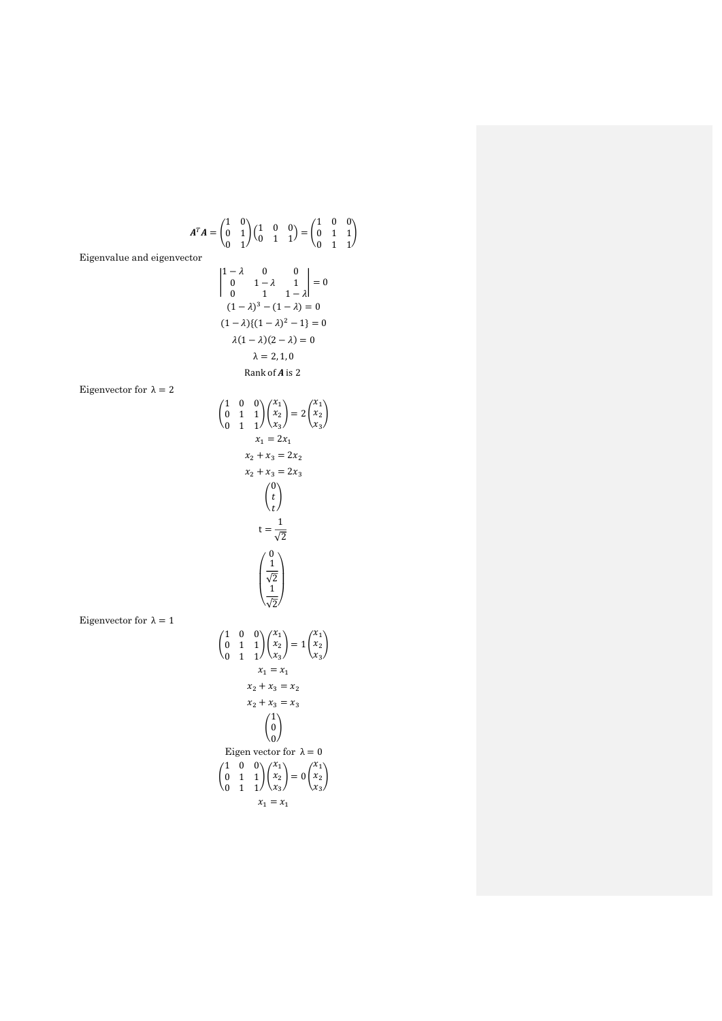$$
A^{T}A = \begin{pmatrix} 1 & 0 \\ 0 & 1 \\ 0 & 1 \end{pmatrix} \begin{pmatrix} 1 & 0 & 0 \\ 0 & 1 & 1 \\ 0 & 1 & 1 \end{pmatrix} = \begin{pmatrix} 1 & 0 & 0 \\ 0 & 1 & 1 \\ 0 & 1 & 1 \\ 0 & 1 & 1 \end{pmatrix}
$$
  
\nEigenvalue and eigenvector  
\n
$$
\begin{vmatrix} 1-\lambda & 0 & 0 \\ 0 & 1-\lambda & 1 \\ 0 & 1 & 1-\lambda \end{vmatrix} = 0
$$
\n $(1-\lambda)^3 - (1-\lambda) = 0$ \n $(1-\lambda)(1-\lambda)^2 - 1 = 0$ \n $\lambda = 2, 1, 0$   
\nRank of A is 2  
\n $\begin{pmatrix} 1 & 0 & 0 \\ 0 & 1 & 1 \\ 0 & 1 & 1 \end{pmatrix} \begin{pmatrix} x_1 \\ x_2 \\ x_3 \end{pmatrix} = 2 \begin{pmatrix} x_1 \\ x_2 \\ x_3 \end{pmatrix}$ \n $x_1 = 2x_1$ \n $x_2 + x_3 = 2x_2$ \n $x_2 + x_3 = 2x_3$ \n
$$
\begin{pmatrix} 0 \\ t \\ t \end{pmatrix}
$$
\n $t = \frac{1}{\sqrt{2}}$ \n
$$
\begin{pmatrix} 0 \\ 0 \\ t \\ t \end{pmatrix}
$$
\n $t = \frac{1}{\sqrt{2}}$ \n
$$
\begin{pmatrix} 1 \\ 0 \\ 1 \\ 0 \end{pmatrix}
$$
\nEigenvector for  $\lambda = 1$ \n
$$
\begin{pmatrix} 1 & 0 & 0 \\ 0 & 1 & 1 \\ 0 & 1 & 1 \end{pmatrix} \begin{pmatrix} x_1 \\ x_2 \\ x_3 \end{pmatrix} = 1 \begin{pmatrix} x_1 \\ x_2 \\ x_3 \end{pmatrix}
$$
\n $x_1 = x_1$ \n
$$
x_2 + x_3 = x_2
$$
\n
$$
x_2 + x_3 = x_2
$$
\n
$$
x_2 + x_3 = x_3
$$
\n
$$
\begin{pmatrix} 1 \\ 0 \\ 0 \\ 0 \\ 1 \end{pmatrix}
$$
\n
$$
\begin{pmatrix}
$$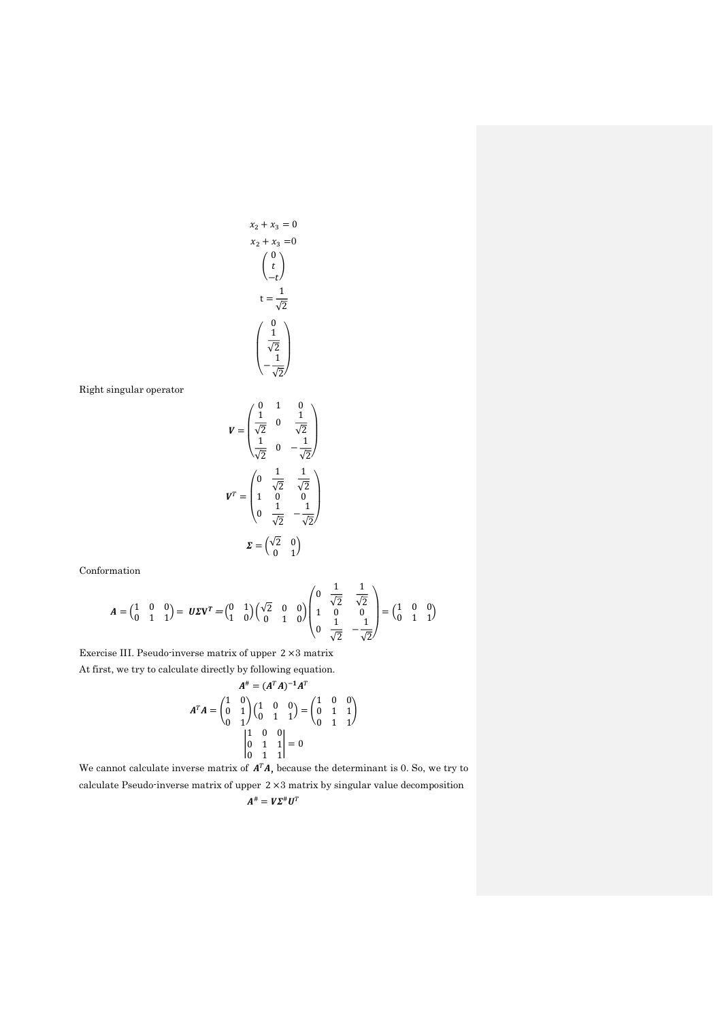$$
x_2 + x_3 = 0
$$
  
\n
$$
x_2 + x_3 = 0
$$
  
\n
$$
\begin{pmatrix} 0 \\ t \\ -t \end{pmatrix}
$$
  
\n
$$
t = \frac{1}{\sqrt{2}}
$$
  
\n
$$
\begin{pmatrix} 0 \\ \frac{1}{\sqrt{2}} \\ -\frac{1}{\sqrt{2}} \end{pmatrix}
$$

Right singular operator

$$
V = \begin{pmatrix} 0 & 1 & 0 \\ \frac{1}{\sqrt{2}} & 0 & \frac{1}{\sqrt{2}} \\ \frac{1}{\sqrt{2}} & 0 & -\frac{1}{\sqrt{2}} \end{pmatrix}
$$

$$
V^{T} = \begin{pmatrix} 0 & \frac{1}{\sqrt{2}} & \frac{1}{\sqrt{2}} \\ 1 & 0 & 0 \\ 0 & \frac{1}{\sqrt{2}} & -\frac{1}{\sqrt{2}} \end{pmatrix}
$$

$$
\Sigma = \begin{pmatrix} \sqrt{2} & 0 \\ 0 & 1 \end{pmatrix}
$$

Conformation

$$
A = \begin{pmatrix} 1 & 0 & 0 \\ 0 & 1 & 1 \end{pmatrix} = U \Sigma V^{T} = \begin{pmatrix} 0 & 1 \\ 1 & 0 \end{pmatrix} \begin{pmatrix} \sqrt{2} & 0 & 0 \\ 0 & 1 & 0 \end{pmatrix} \begin{pmatrix} 0 & \frac{1}{\sqrt{2}} & \frac{1}{\sqrt{2}} \\ 1 & 0 & 0 \\ 0 & \frac{1}{\sqrt{2}} & -\frac{1}{\sqrt{2}} \end{pmatrix} = \begin{pmatrix} 1 & 0 & 0 \\ 0 & 1 & 1 \end{pmatrix}
$$

Exercise III. Pseudo-inverse matrix of upper 2 ×3 matrix At first, we try to calculate directly by following equation.

$$
A^{\dagger} = (A^T A)^{-1} A^T
$$

$$
A^T A = \begin{pmatrix} 1 & 0 \\ 0 & 1 \\ 0 & 1 \end{pmatrix} \begin{pmatrix} 1 & 0 & 0 \\ 0 & 1 & 1 \end{pmatrix} = \begin{pmatrix} 1 & 0 & 0 \\ 0 & 1 & 1 \\ 0 & 1 & 1 \end{pmatrix}
$$

$$
\begin{vmatrix} 1 & 0 & 0 \\ 0 & 1 & 1 \\ 0 & 1 & 1 \end{vmatrix} = 0
$$

We cannot calculate inverse matrix of  $A<sup>T</sup>A$ , because the determinant is 0. So, we try to calculate Pseudo-inverse matrix of upper 2 ×3 matrix by singular value decomposition  $A^{\#} = V\Sigma^{\#}U^{T}$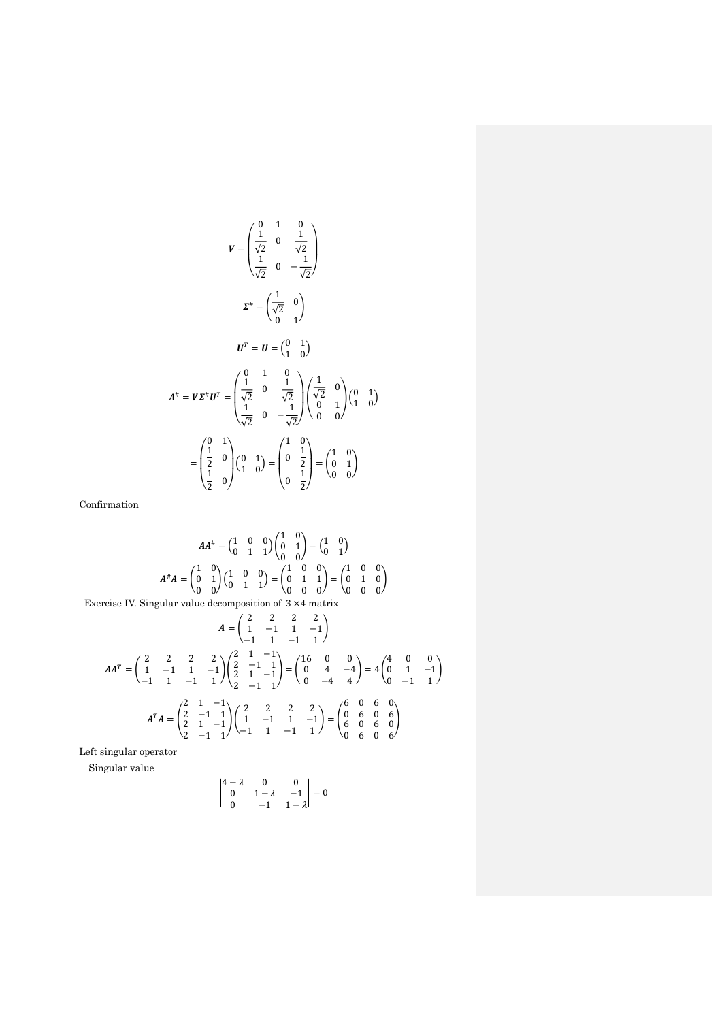$$
V = \begin{pmatrix} 0 & 1 & 0 \\ \frac{1}{\sqrt{2}} & 0 & \frac{1}{\sqrt{2}} \\ \frac{1}{\sqrt{2}} & 0 & -\frac{1}{\sqrt{2}} \end{pmatrix}
$$
  

$$
\Sigma^{\#} = \begin{pmatrix} \frac{1}{\sqrt{2}} & 0 \\ \frac{1}{\sqrt{2}} & 0 \end{pmatrix}
$$
  

$$
U^{T} = U = \begin{pmatrix} 0 & 1 \\ 1 & 0 \end{pmatrix}
$$
  

$$
A^{\#} = V\Sigma^{\#}U^{T} = \begin{pmatrix} 0 & 1 & 0 \\ \frac{1}{\sqrt{2}} & 0 & \frac{1}{\sqrt{2}} \\ \frac{1}{\sqrt{2}} & 0 & -\frac{1}{\sqrt{2}} \end{pmatrix} \begin{pmatrix} \frac{1}{\sqrt{2}} & 0 \\ 0 & 1 \\ 0 & 0 \end{pmatrix} \begin{pmatrix} 0 & 1 \\ 1 & 0 \end{pmatrix}
$$
  

$$
= \begin{pmatrix} 0 & 1 \\ \frac{1}{2} & 0 \\ \frac{1}{2} & 0 \end{pmatrix} \begin{pmatrix} 0 & 1 \\ 1 & 0 \end{pmatrix} = \begin{pmatrix} 1 & 0 \\ 0 & \frac{1}{2} \\ 0 & \frac{1}{2} \end{pmatrix} = \begin{pmatrix} 1 & 0 \\ 0 & 1 \\ 0 & 0 \end{pmatrix}
$$

Confirmation

$$
AA^{\#} = \begin{pmatrix} 1 & 0 & 0 \\ 0 & 1 & 1 \end{pmatrix} \begin{pmatrix} 1 & 0 \\ 0 & 1 \end{pmatrix} = \begin{pmatrix} 1 & 0 \\ 0 & 1 \end{pmatrix}
$$

$$
A^{\#}A = \begin{pmatrix} 1 & 0 \\ 0 & 1 \end{pmatrix} \begin{pmatrix} 1 & 0 & 0 \\ 0 & 1 & 1 \end{pmatrix} = \begin{pmatrix} 1 & 0 & 0 \\ 0 & 1 & 1 \\ 0 & 0 & 0 \end{pmatrix} = \begin{pmatrix} 1 & 0 & 0 \\ 0 & 1 & 0 \\ 0 & 0 & 0 \end{pmatrix}
$$

Exercise IV. Singular value decomposition of 3 ×4 matrix

$$
A = \begin{pmatrix} 2 & 2 & 2 & 2 \\ 1 & -1 & 1 & -1 \\ -1 & 1 & -1 & 1 \end{pmatrix}
$$
  
\n
$$
AA^{T} = \begin{pmatrix} 2 & 2 & 2 & 2 \\ 1 & -1 & 1 & -1 \\ -1 & 1 & -1 & 1 \end{pmatrix} \begin{pmatrix} 2 & 1 & -1 \\ 2 & -1 & 1 \\ 2 & 1 & -1 \end{pmatrix} = \begin{pmatrix} 16 & 0 & 0 \\ 0 & 4 & -4 \\ 0 & -4 & 4 \end{pmatrix} = 4 \begin{pmatrix} 4 & 0 & 0 \\ 0 & 1 & -1 \\ 0 & -1 & 1 \end{pmatrix}
$$
  
\n
$$
A^{T}A = \begin{pmatrix} 2 & 1 & -1 \\ 2 & -1 & 1 \\ 2 & 1 & -1 \\ 2 & -1 & 1 \end{pmatrix} \begin{pmatrix} 2 & 2 & 2 \\ 1 & -1 & 1 \\ -1 & 1 & -1 & 1 \end{pmatrix} = \begin{pmatrix} 6 & 0 & 6 & 0 \\ 0 & 6 & 0 & 6 \\ 6 & 0 & 6 & 0 \\ 0 & 6 & 0 & 6 \end{pmatrix}
$$

Left singular operator

Singular value

$$
\begin{vmatrix} 4-\lambda & 0 & 0 \\ 0 & 1-\lambda & -1 \\ 0 & -1 & 1-\lambda \end{vmatrix} = 0
$$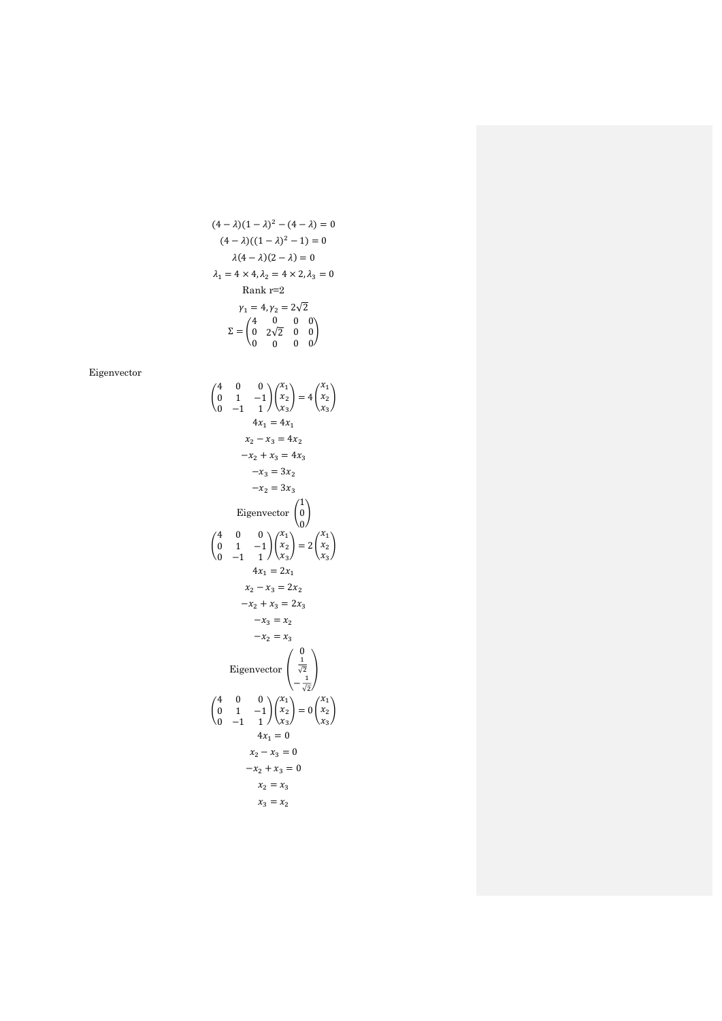$$
(4 - \lambda)(1 - \lambda)^2 - (4 - \lambda) = 0
$$
  
\n
$$
(4 - \lambda)((1 - \lambda)^2 - 1) = 0
$$
  
\n
$$
\lambda(4 - \lambda)(2 - \lambda) = 0
$$
  
\n
$$
\lambda_1 = 4 \times 4, \lambda_2 = 4 \times 2, \lambda_3 = 0
$$
  
\nRank r=2  
\n
$$
\gamma_1 = 4, \gamma_2 = 2\sqrt{2}
$$
  
\n
$$
\Sigma = \begin{pmatrix} 4 & 0 & 0 & 0 \\ 0 & 2\sqrt{2} & 0 & 0 \\ 0 & 0 & 0 & 0 \end{pmatrix}
$$

Eigenvector

$$
\begin{pmatrix}\n4 & 0 & 0 \\
0 & 1 & -1 \\
0 & -1 & 1\n\end{pmatrix}\n\begin{pmatrix}\nx_1 \\
x_2 \\
x_3\n\end{pmatrix} = 4\n\begin{pmatrix}\nx_1 \\
x_2 \\
x_3\n\end{pmatrix}
$$
\n
$$
4x_1 = 4x_1
$$
\n
$$
x_2 - x_3 = 4x_2
$$
\n
$$
-x_2 + x_3 = 4x_3
$$
\n
$$
-x_3 = 3x_2
$$
\n
$$
-x_2 = 3x_3
$$
\nEigenvector\n
$$
\begin{pmatrix}\n1 \\
0 \\
0\n\end{pmatrix}
$$
\n
$$
\begin{pmatrix}\n4 & 0 & 0 \\
0 & 1 & -1 \\
0 & -1 & 1\n\end{pmatrix}\n\begin{pmatrix}\nx_1 \\
x_2 \\
x_3\n\end{pmatrix} = 2\n\begin{pmatrix}\nx_1 \\
x_2 \\
x_3\n\end{pmatrix}
$$
\n
$$
4x_1 = 2x_1
$$
\n
$$
x_2 - x_3 = 2x_2
$$
\n
$$
-x_2 = x_3
$$
\n
$$
-x_2 = x_3
$$
\nEigenvector\n
$$
\begin{pmatrix}\n0 \\
\frac{1}{\sqrt{2}} \\
-\frac{1}{\sqrt{2}}\n\end{pmatrix}
$$
\n
$$
\begin{pmatrix}\n4 & 0 & 0 \\
0 & 1 & -1 \\
0 & -1 & 1\n\end{pmatrix}\n\begin{pmatrix}\nx_1 \\
x_2 \\
x_3\n\end{pmatrix} = 0\n\begin{pmatrix}\nx_1 \\
x_2 \\
x_3\n\end{pmatrix}
$$
\n
$$
4x_1 = 0
$$
\n
$$
x_2 - x_3 = 0
$$
\n
$$
-x_2 + x_3 = 0
$$
\n
$$
x_2 = x_3
$$
\n
$$
x_3 = x_2
$$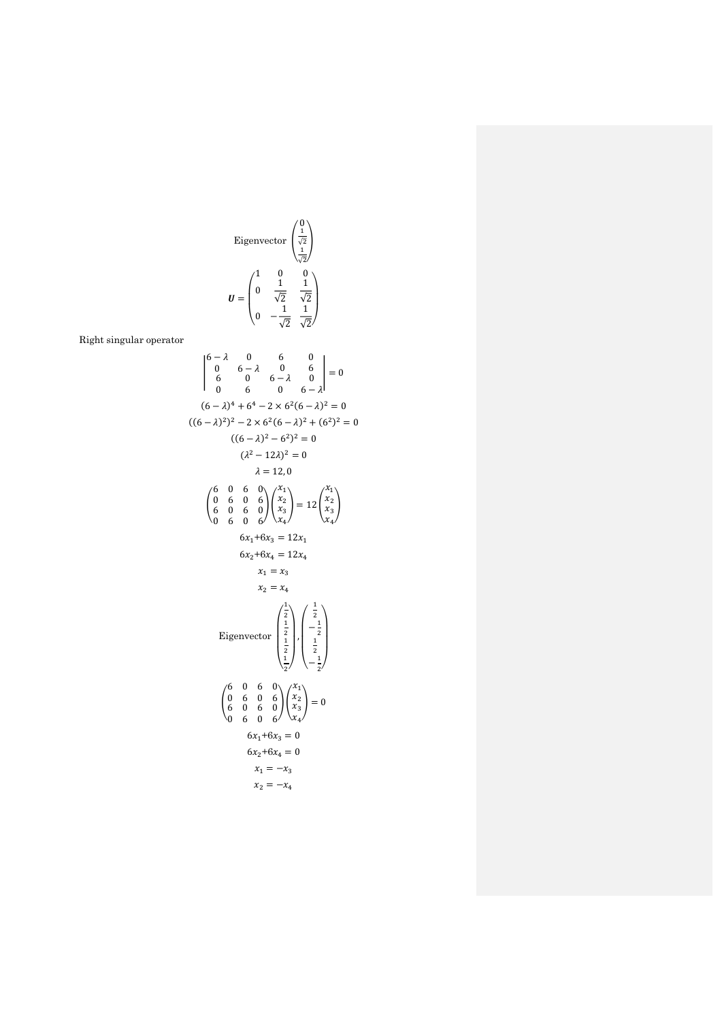Eigenvector 
$$
\begin{pmatrix} 0 \\ \frac{1}{\sqrt{2}} \\ \frac{1}{\sqrt{2}} \end{pmatrix}
$$
  

$$
U = \begin{pmatrix} 1 & 0 & 0 \\ 0 & \frac{1}{\sqrt{2}} & \frac{1}{\sqrt{2}} \\ 0 & -\frac{1}{\sqrt{2}} & \frac{1}{\sqrt{2}} \end{pmatrix}
$$

Right singular operator

$$
\begin{vmatrix}\n6-\lambda & 0 & 6 & 0 \\
0 & 6-\lambda & 0 & 6 \\
6 & 0 & 6-\lambda & 0 \\
0 & 6 & 0 & 6-\lambda\n\end{vmatrix} = 0
$$
\n
$$
((6-\lambda)^2)^2 - 2 \times 6^2(6-\lambda)^2 + (6^2)^2 = 0
$$
\n
$$
((6-\lambda)^2)^2 - 6^2 = 0
$$
\n
$$
((6-\lambda)^2)^2 - 6^2 = 0
$$
\n
$$
((6-\lambda)^2 - 6^2)^2 = 0
$$
\n
$$
(\lambda^2 - 12\lambda)^2 = 0
$$
\n
$$
\lambda = 12,0
$$
\n
$$
\begin{pmatrix}\n6 & 0 & 6 & 0 \\
0 & 6 & 0 & 6 \\
6 & 0 & 6 & 0\n\end{pmatrix}\n\begin{pmatrix}\nx_1 \\
x_2 \\
x_3 \\
x_4\n\end{pmatrix} = 12 \begin{pmatrix}\nx_1 \\
x_2 \\
x_3 \\
x_4\n\end{pmatrix}
$$
\n
$$
6x_1 + 6x_3 = 12x_1
$$
\n
$$
6x_2 + 6x_4 = 12x_4
$$
\n
$$
x_1 = x_3
$$
\n
$$
x_2 = x_4
$$
\n
$$
x_1 = x_3
$$
\n
$$
x_2 = x_4
$$
\n
$$
\begin{pmatrix}\n\frac{1}{2} \\
\frac{1}{2} \\
\frac{1}{2}\n\end{pmatrix}\n\begin{pmatrix}\n\frac{1}{2} \\
-\frac{1}{2} \\
-\frac{1}{2}\n\end{pmatrix}
$$
\n
$$
\begin{pmatrix}\n6 & 0 & 6 & 0 \\
0 & 6 & 0 & 6 \\
6 & 0 & 6 & 0 \\
0 & 6 & 0 & 6\n\end{pmatrix}\n\begin{pmatrix}\nx_1 \\
x_2 \\
x_3 \\
x_4\n\end{pmatrix} = 0
$$
\n
$$
6x_1 + 6x_3 = 0
$$
\n
$$
6x_1 + 6x_3 = 0
$$
\n
$$
6x_2 + 6x_4 = 0
$$
\n
$$
x_1 = -x_3
$$
\n
$$
x_2 = -x_4
$$